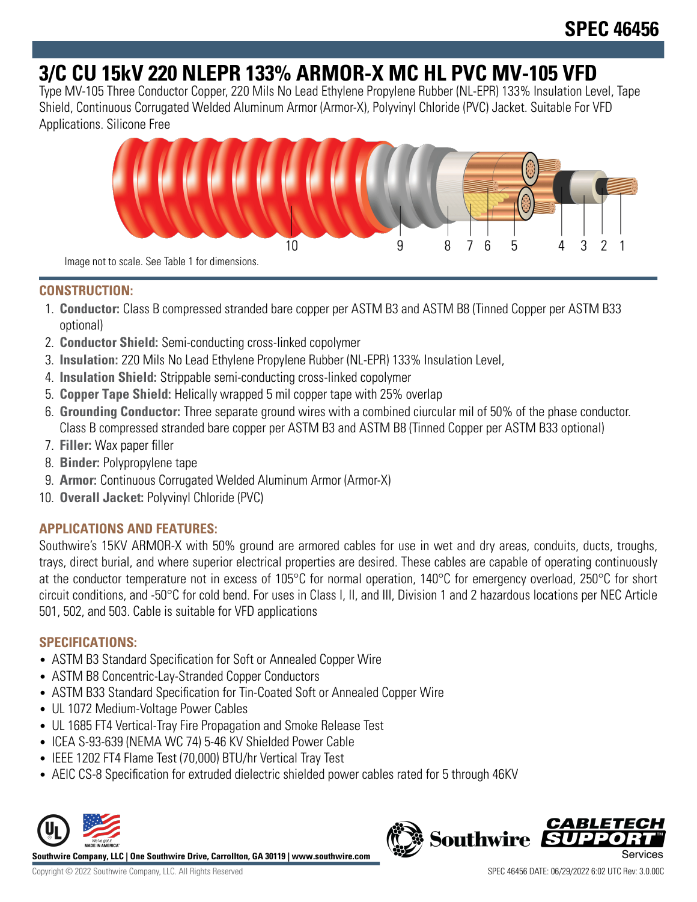# **3/C CU 15kV 220 NLEPR 133% ARMOR-X MC HL PVC MV-105 VFD**

Type MV-105 Three Conductor Copper, 220 Mils No Lead Ethylene Propylene Rubber (NL-EPR) 133% Insulation Level, Tape Shield, Continuous Corrugated Welded Aluminum Armor (Armor-X), Polyvinyl Chloride (PVC) Jacket. Suitable For VFD Applications. Silicone Free



**CONSTRUCTION:**

- 1. **Conductor:** Class B compressed stranded bare copper per ASTM B3 and ASTM B8 (Tinned Copper per ASTM B33 optional)
- 2. **Conductor Shield:** Semi-conducting cross-linked copolymer
- 3. **Insulation:** 220 Mils No Lead Ethylene Propylene Rubber (NL-EPR) 133% Insulation Level,
- 4. **Insulation Shield:** Strippable semi-conducting cross-linked copolymer
- 5. **Copper Tape Shield:** Helically wrapped 5 mil copper tape with 25% overlap
- 6. **Grounding Conductor:** Three separate ground wires with a combined ciurcular mil of 50% of the phase conductor. Class B compressed stranded bare copper per ASTM B3 and ASTM B8 (Tinned Copper per ASTM B33 optional)
- 7. **Filler:** Wax paper filler
- 8. **Binder:** Polypropylene tape
- 9. **Armor:** Continuous Corrugated Welded Aluminum Armor (Armor-X)
- 10. **Overall Jacket:** Polyvinyl Chloride (PVC)

## **APPLICATIONS AND FEATURES:**

Southwire's 15KV ARMOR-X with 50% ground are armored cables for use in wet and dry areas, conduits, ducts, troughs, trays, direct burial, and where superior electrical properties are desired. These cables are capable of operating continuously at the conductor temperature not in excess of 105°C for normal operation, 140°C for emergency overload, 250°C for short circuit conditions, and -50°C for cold bend. For uses in Class I, II, and III, Division 1 and 2 hazardous locations per NEC Article 501, 502, and 503. Cable is suitable for VFD applications

## **SPECIFICATIONS:**

- ASTM B3 Standard Specification for Soft or Annealed Copper Wire
- ASTM B8 Concentric-Lay-Stranded Copper Conductors
- ASTM B33 Standard Specification for Tin-Coated Soft or Annealed Copper Wire
- UL 1072 Medium-Voltage Power Cables
- UL 1685 FT4 Vertical-Tray Fire Propagation and Smoke Release Test
- ICEA S-93-639 (NEMA WC 74) 5-46 KV Shielded Power Cable
- IEEE 1202 FT4 Flame Test (70,000) BTU/hr Vertical Tray Test
- AEIC CS-8 Specification for extruded dielectric shielded power cables rated for 5 through 46KV



**Southwire Company, LLC | One Southwire Drive, Carrollton, GA 30119 | www.southwire.com**